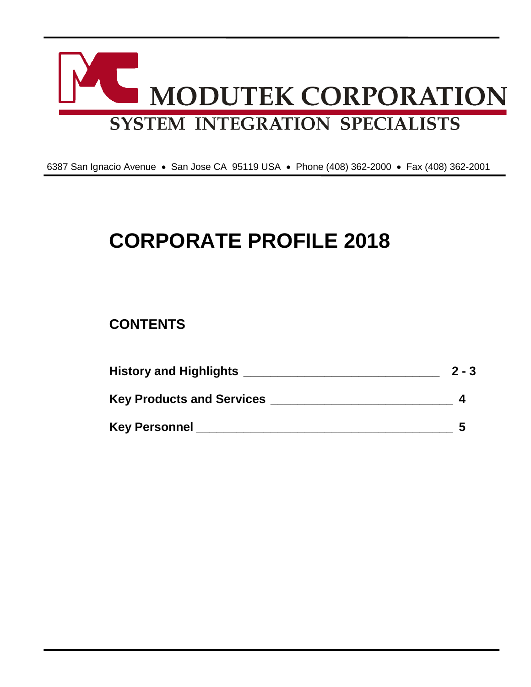

6387 San Ignacio Avenue • San Jose CA 95119 USA • Phone (408) 362-2000 • Fax (408) 362-2001

# **CORPORATE PROFILE 2018**

# **CONTENTS**

| <b>History and Highlights</b>    | $2 - 3$ |
|----------------------------------|---------|
| <b>Key Products and Services</b> |         |
| <b>Key Personnel</b>             |         |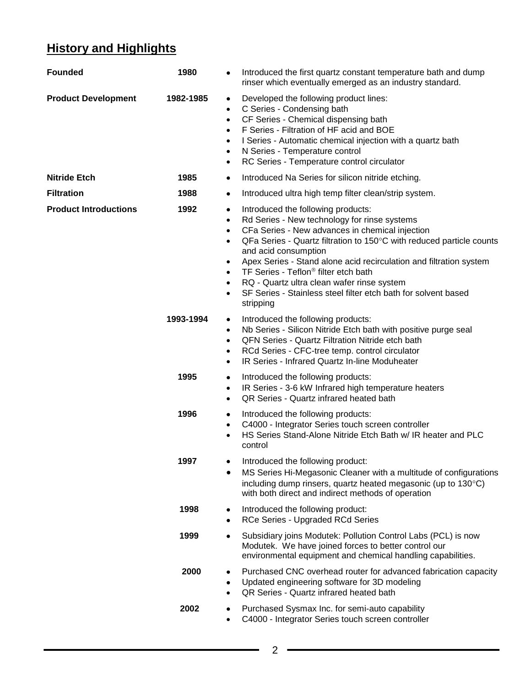# **History and Highlights**

| <b>Founded</b>               | 1980      | Introduced the first quartz constant temperature bath and dump<br>rinser which eventually emerged as an industry standard.                                                                                                                                                                                                                                                                                                                                                                                                                                                                   |
|------------------------------|-----------|----------------------------------------------------------------------------------------------------------------------------------------------------------------------------------------------------------------------------------------------------------------------------------------------------------------------------------------------------------------------------------------------------------------------------------------------------------------------------------------------------------------------------------------------------------------------------------------------|
| <b>Product Development</b>   | 1982-1985 | Developed the following product lines:<br>٠<br>C Series - Condensing bath<br>$\bullet$<br>CF Series - Chemical dispensing bath<br>$\bullet$<br>F Series - Filtration of HF acid and BOE<br>$\bullet$<br>I Series - Automatic chemical injection with a quartz bath<br>$\bullet$<br>N Series - Temperature control<br>$\bullet$<br>RC Series - Temperature control circulator<br>$\bullet$                                                                                                                                                                                                    |
| <b>Nitride Etch</b>          | 1985      | Introduced Na Series for silicon nitride etching.<br>٠                                                                                                                                                                                                                                                                                                                                                                                                                                                                                                                                       |
| <b>Filtration</b>            | 1988      | Introduced ultra high temp filter clean/strip system.<br>٠                                                                                                                                                                                                                                                                                                                                                                                                                                                                                                                                   |
| <b>Product Introductions</b> | 1992      | Introduced the following products:<br>٠<br>Rd Series - New technology for rinse systems<br>$\bullet$<br>CFa Series - New advances in chemical injection<br>$\bullet$<br>QFa Series - Quartz filtration to 150°C with reduced particle counts<br>$\bullet$<br>and acid consumption<br>Apex Series - Stand alone acid recirculation and filtration system<br>$\bullet$<br>TF Series - Teflon <sup>®</sup> filter etch bath<br>$\bullet$<br>RQ - Quartz ultra clean wafer rinse system<br>$\bullet$<br>SF Series - Stainless steel filter etch bath for solvent based<br>$\bullet$<br>stripping |
|                              | 1993-1994 | Introduced the following products:<br>٠<br>Nb Series - Silicon Nitride Etch bath with positive purge seal<br>$\bullet$<br>QFN Series - Quartz Filtration Nitride etch bath<br>$\bullet$<br>RCd Series - CFC-tree temp. control circulator<br>$\bullet$<br>IR Series - Infrared Quartz In-line Moduheater<br>$\bullet$                                                                                                                                                                                                                                                                        |
|                              | 1995      | Introduced the following products:<br>٠<br>IR Series - 3-6 kW Infrared high temperature heaters<br>$\bullet$<br>QR Series - Quartz infrared heated bath<br>$\bullet$                                                                                                                                                                                                                                                                                                                                                                                                                         |
|                              | 1996      | Introduced the following products:<br>٠<br>C4000 - Integrator Series touch screen controller<br>$\bullet$<br>HS Series Stand-Alone Nitride Etch Bath w/ IR heater and PLC<br>$\bullet$<br>control                                                                                                                                                                                                                                                                                                                                                                                            |
|                              | 1997      | Introduced the following product:<br>MS Series Hi-Megasonic Cleaner with a multitude of configurations<br>including dump rinsers, quartz heated megasonic (up to 130°C)<br>with both direct and indirect methods of operation                                                                                                                                                                                                                                                                                                                                                                |
|                              | 1998      | Introduced the following product:<br>٠<br>RCe Series - Upgraded RCd Series<br>٠                                                                                                                                                                                                                                                                                                                                                                                                                                                                                                              |
|                              | 1999      | Subsidiary joins Modutek: Pollution Control Labs (PCL) is now<br>٠<br>Modutek. We have joined forces to better control our<br>environmental equipment and chemical handling capabilities.                                                                                                                                                                                                                                                                                                                                                                                                    |
|                              | 2000      | Purchased CNC overhead router for advanced fabrication capacity<br>Updated engineering software for 3D modeling<br>٠<br>QR Series - Quartz infrared heated bath<br>$\bullet$                                                                                                                                                                                                                                                                                                                                                                                                                 |
|                              | 2002      | Purchased Sysmax Inc. for semi-auto capability<br>C4000 - Integrator Series touch screen controller                                                                                                                                                                                                                                                                                                                                                                                                                                                                                          |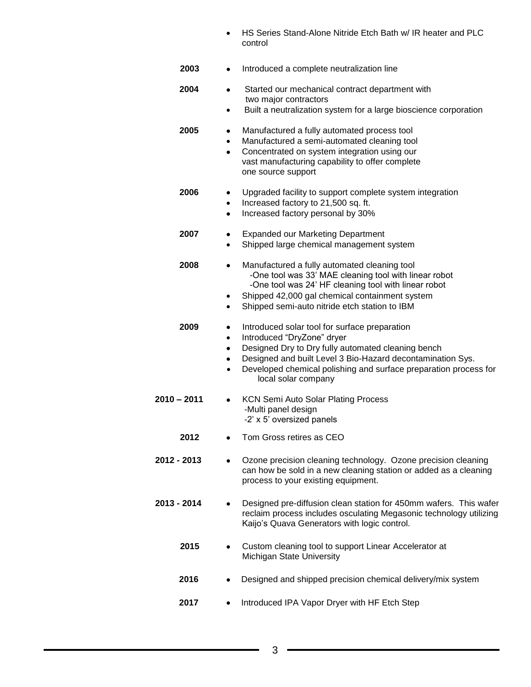- HS Series Stand-Alone Nitride Etch Bath w/ IR heater and PLC control
- **2003** Introduced a complete neutralization line  **2004** •Started our mechanical contract department with two major contractors • Built a neutralization system for a large bioscience corporation **2005** •Manufactured a fully automated process tool • Manufactured a semi-automated cleaning tool • Concentrated on system integration using our vast manufacturing capability to offer complete one source support **2006** •Upgraded facility to support complete system integration • Increased factory to 21,500 sq. ft. • Increased factory personal by 30% **2007** •Expanded our Marketing Department • Shipped large chemical management system **2008** •Manufactured a fully automated cleaning tool -One tool was 33' MAE cleaning tool with linear robot -One tool was 24' HF cleaning tool with linear robot • Shipped 42,000 gal chemical containment system • Shipped semi-auto nitride etch station to IBM **2009** •Introduced solar tool for surface preparation • Introduced "DryZone" dryer • Designed Dry to Dry fully automated cleaning bench • Designed and built Level 3 Bio-Hazard decontamination Sys. • Developed chemical polishing and surface preparation process for local solar company  **2010 – 2011** •KCN Semi Auto Solar Plating Process -Multi panel design -2' x 5' oversized panels **2012** • Tom Gross retires as CEO **2012 - 2013** • Ozone precision cleaning technology. Ozone precision cleaning can how be sold in a new cleaning station or added as a cleaning process to your existing equipment. **2013 - 2014** • Designed pre-diffusion clean station for 450mm wafers. This wafer reclaim process includes osculating Megasonic technology utilizing Kaijo's Quava Generators with logic control. **2015** • Custom cleaning tool to support Linear Accelerator at Michigan State University **2016** • Designed and shipped precision chemical delivery/mix system  **2017** • Introduced IPA Vapor Dryer with HF Etch Step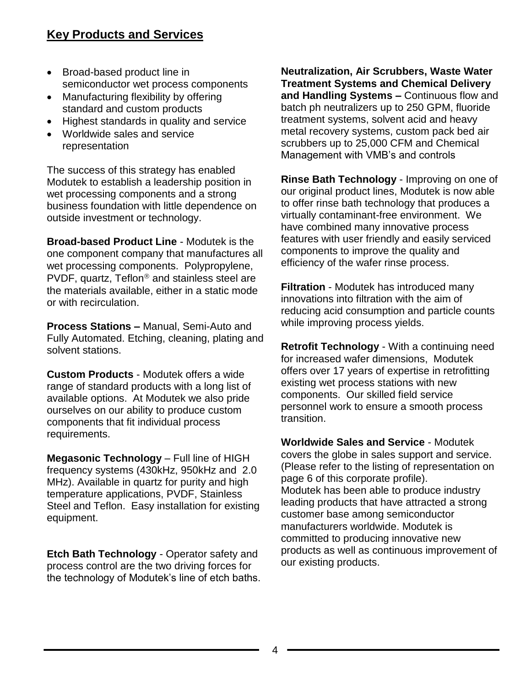## **Key Products and Services**

- Broad-based product line in semiconductor wet process components
- Manufacturing flexibility by offering standard and custom products
- Highest standards in quality and service
- Worldwide sales and service representation

The success of this strategy has enabled Modutek to establish a leadership position in wet processing components and a strong business foundation with little dependence on outside investment or technology.

**Broad-based Product Line** - Modutek is the one component company that manufactures all wet processing components. Polypropylene, PVDF, quartz, Teflon<sup>®</sup> and stainless steel are the materials available, either in a static mode or with recirculation.

**Process Stations –** Manual, Semi-Auto and Fully Automated. Etching, cleaning, plating and solvent stations.

**Custom Products** - Modutek offers a wide range of standard products with a long list of available options. At Modutek we also pride ourselves on our ability to produce custom components that fit individual process requirements.

**Megasonic Technology** – Full line of HIGH frequency systems (430kHz, 950kHz and 2.0 MHz). Available in quartz for purity and high temperature applications, PVDF, Stainless Steel and Teflon. Easy installation for existing equipment.

**Etch Bath Technology** - Operator safety and process control are the two driving forces for the technology of Modutek's line of etch baths. **Neutralization, Air Scrubbers, Waste Water Treatment Systems and Chemical Delivery and Handling Systems –** Continuous flow and batch ph neutralizers up to 250 GPM, fluoride treatment systems, solvent acid and heavy metal recovery systems, custom pack bed air scrubbers up to 25,000 CFM and Chemical Management with VMB's and controls

**Rinse Bath Technology** - Improving on one of our original product lines, Modutek is now able to offer rinse bath technology that produces a virtually contaminant-free environment. We have combined many innovative process features with user friendly and easily serviced components to improve the quality and efficiency of the wafer rinse process.

**Filtration** - Modutek has introduced many innovations into filtration with the aim of reducing acid consumption and particle counts while improving process yields.

**Retrofit Technology** - With a continuing need for increased wafer dimensions, Modutek offers over 17 years of expertise in retrofitting existing wet process stations with new components. Our skilled field service personnel work to ensure a smooth process transition.

**Worldwide Sales and Service** - Modutek covers the globe in sales support and service. (Please refer to the listing of representation on page 6 of this corporate profile). Modutek has been able to produce industry leading products that have attracted a strong customer base among semiconductor manufacturers worldwide. Modutek is committed to producing innovative new products as well as continuous improvement of our existing products.